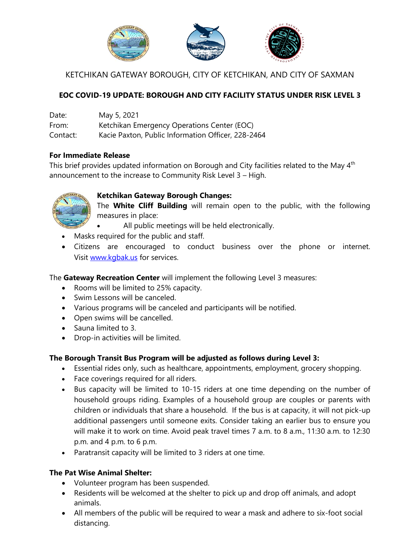

KETCHIKAN GATEWAY BOROUGH, CITY OF KETCHIKAN, AND CITY OF SAXMAN

# **EOC COVID-19 UPDATE: BOROUGH AND CITY FACILITY STATUS UNDER RISK LEVEL 3**

| Date:    | May 5, 2021                                        |
|----------|----------------------------------------------------|
| From:    | Ketchikan Emergency Operations Center (EOC)        |
| Contact: | Kacie Paxton, Public Information Officer, 228-2464 |

### **For Immediate Release**

This brief provides updated information on Borough and City facilities related to the May 4<sup>th</sup> announcement to the increase to Community Risk Level 3 – High.



# **Ketchikan Gateway Borough Changes:**

The **White Cliff Building** will remain open to the public, with the following measures in place:

All public meetings will be held electronically.

- Masks required for the public and staff.
- Citizens are encouraged to conduct business over the phone or internet. Visit [www.kgbak.us](http://www.kgbak.us/) for services.

The **Gateway Recreation Center** will implement the following Level 3 measures:

- Rooms will be limited to 25% capacity.
- Swim Lessons will be canceled.
- Various programs will be canceled and participants will be notified.
- Open swims will be cancelled.
- Sauna limited to 3.
- Drop-in activities will be limited.

### **The Borough Transit Bus Program will be adjusted as follows during Level 3:**

- Essential rides only, such as healthcare, appointments, employment, grocery shopping.
- Face coverings required for all riders.
- Bus capacity will be limited to 10-15 riders at one time depending on the number of household groups riding. Examples of a household group are couples or parents with children or individuals that share a household. If the bus is at capacity, it will not pick-up additional passengers until someone exits. Consider taking an earlier bus to ensure you will make it to work on time. Avoid peak travel times 7 a.m. to 8 a.m., 11:30 a.m. to 12:30 p.m. and 4 p.m. to 6 p.m.
- Paratransit capacity will be limited to 3 riders at one time.

### **The Pat Wise Animal Shelter:**

- Volunteer program has been suspended.
- Residents will be welcomed at the shelter to pick up and drop off animals, and adopt animals.
- All members of the public will be required to wear a mask and adhere to six-foot social distancing.